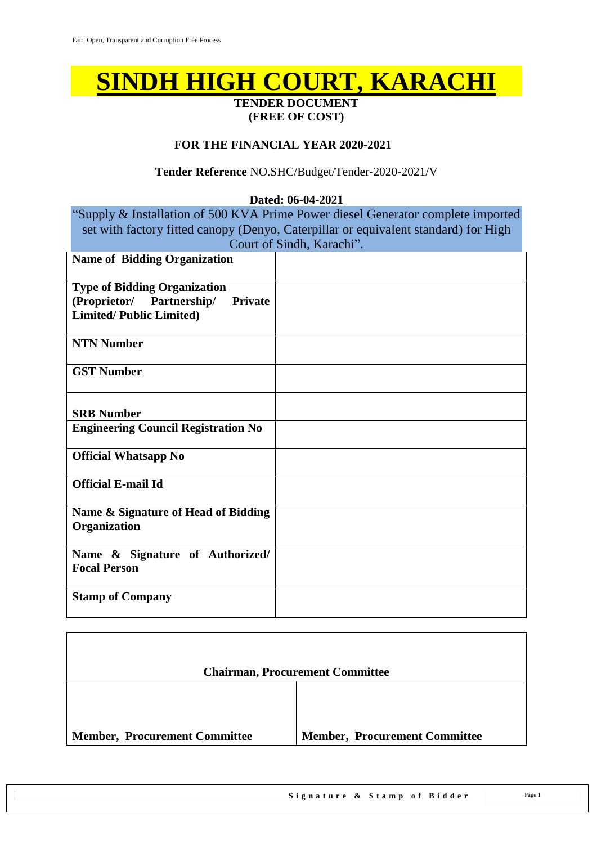# **SINDH HIGH COURT, KARACHI**

#### **TENDER DOCUMENT (FREE OF COST)**

#### **FOR THE FINANCIAL YEAR 2020-2021**

#### **Tender Reference** NO.SHC/Budget/Tender-2020-2021/V

#### **Dated: 06-04-2021**

"Supply & Installation of 500 KVA Prime Power diesel Generator complete imported set with factory fitted canopy (Denyo, Caterpillar or equivalent standard) for High Court of Sindh, Karachi".

| <b>Name of Bidding Organization</b>         |  |
|---------------------------------------------|--|
| <b>Type of Bidding Organization</b>         |  |
| (Proprietor/ Partnership/<br><b>Private</b> |  |
| <b>Limited/Public Limited)</b>              |  |
|                                             |  |
| <b>NTN Number</b>                           |  |
|                                             |  |
| <b>GST Number</b>                           |  |
|                                             |  |
|                                             |  |
| <b>SRB Number</b>                           |  |
| <b>Engineering Council Registration No</b>  |  |
|                                             |  |
| <b>Official Whatsapp No</b>                 |  |
|                                             |  |
| <b>Official E-mail Id</b>                   |  |
|                                             |  |
| Name & Signature of Head of Bidding         |  |
| Organization                                |  |
|                                             |  |
| Name & Signature of Authorized/             |  |
| <b>Focal Person</b>                         |  |
|                                             |  |
| <b>Stamp of Company</b>                     |  |
|                                             |  |

|                                      | <b>Chairman, Procurement Committee</b> |
|--------------------------------------|----------------------------------------|
|                                      |                                        |
| <b>Member, Procurement Committee</b> | <b>Member, Procurement Committee</b>   |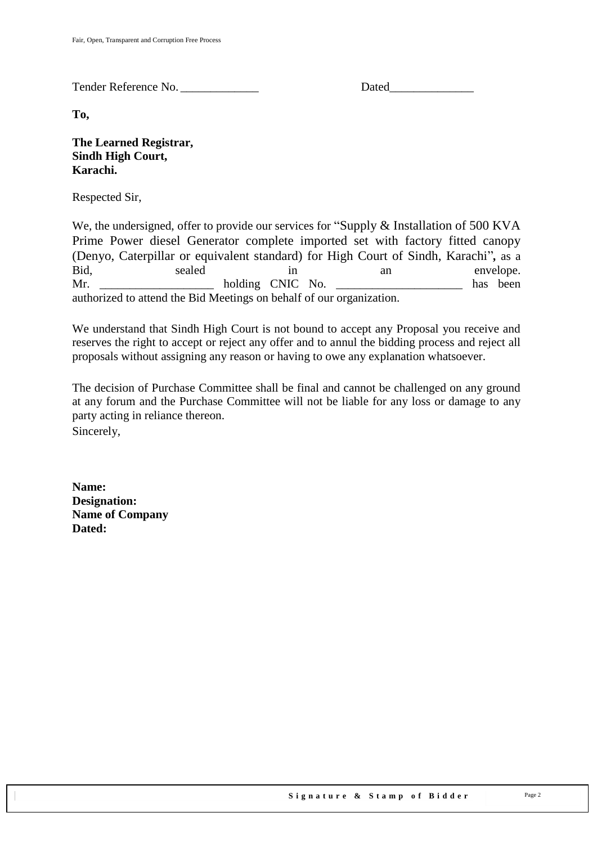Tender Reference No. \_\_\_\_\_\_\_\_\_\_\_\_\_ Dated\_\_\_\_\_\_\_\_\_\_\_\_\_\_

**To,** 

**The Learned Registrar, Sindh High Court, Karachi.**

Respected Sir,

We, the undersigned, offer to provide our services for "Supply & Installation of 500 KVA Prime Power diesel Generator complete imported set with factory fitted canopy (Denyo, Caterpillar or equivalent standard) for High Court of Sindh, Karachi"*,* as a Bid, sealed in an envelope. Mr. \_\_\_\_\_\_\_\_\_\_\_\_\_\_\_\_\_\_\_ holding CNIC No. \_\_\_\_\_\_\_\_\_\_\_\_\_\_\_\_\_\_\_\_\_ has been authorized to attend the Bid Meetings on behalf of our organization.

We understand that Sindh High Court is not bound to accept any Proposal you receive and reserves the right to accept or reject any offer and to annul the bidding process and reject all proposals without assigning any reason or having to owe any explanation whatsoever.

The decision of Purchase Committee shall be final and cannot be challenged on any ground at any forum and the Purchase Committee will not be liable for any loss or damage to any party acting in reliance thereon. Sincerely,

**Name: Designation: Name of Company Dated:**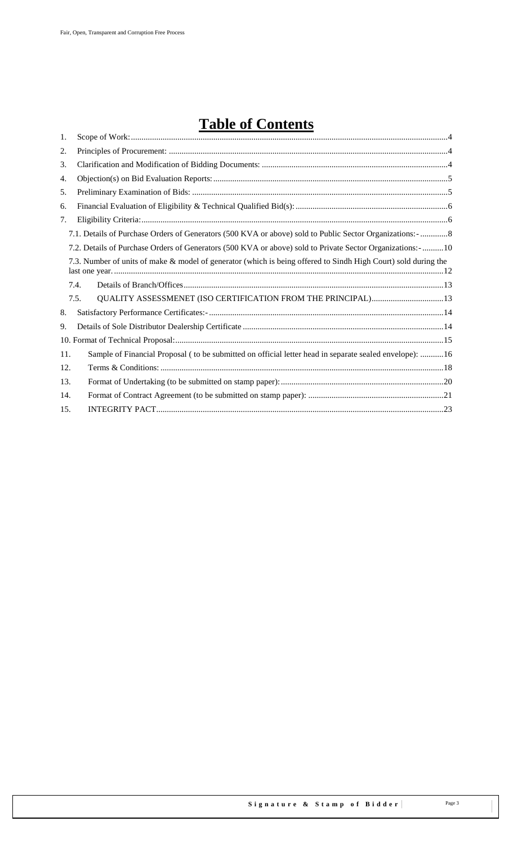# **Table of Contents**

| 1.  |                                                                                                                |  |
|-----|----------------------------------------------------------------------------------------------------------------|--|
| 2.  |                                                                                                                |  |
| 3.  |                                                                                                                |  |
| 4.  |                                                                                                                |  |
| 5.  |                                                                                                                |  |
| 6.  |                                                                                                                |  |
| 7.  |                                                                                                                |  |
|     | 7.1. Details of Purchase Orders of Generators (500 KVA or above) sold to Public Sector Organizations: - 8      |  |
|     | 7.2. Details of Purchase Orders of Generators (500 KVA or above) sold to Private Sector Organizations: - 10    |  |
|     | 7.3. Number of units of make & model of generator (which is being offered to Sindh High Court) sold during the |  |
|     | 7.4.                                                                                                           |  |
|     | QUALITY ASSESSMENET (ISO CERTIFICATION FROM THE PRINCIPAL) 13<br>7.5.                                          |  |
| 8.  |                                                                                                                |  |
| 9.  |                                                                                                                |  |
|     |                                                                                                                |  |
| 11. | Sample of Financial Proposal (to be submitted on official letter head in separate sealed envelope): 16         |  |
| 12. |                                                                                                                |  |
| 13. |                                                                                                                |  |
| 14. |                                                                                                                |  |
| 15. |                                                                                                                |  |
|     |                                                                                                                |  |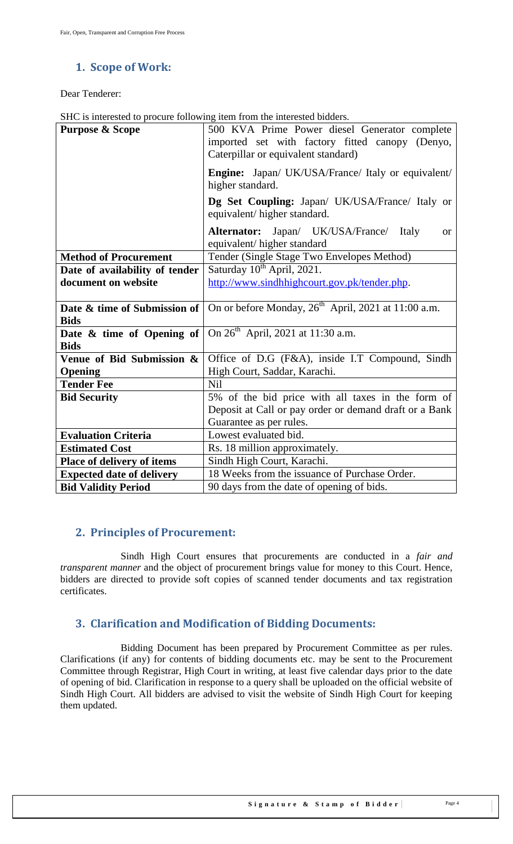### <span id="page-3-0"></span>**1. Scope of Work:**

Dear Tenderer:

|  | SHC is interested to procure following item from the interested bidders. |
|--|--------------------------------------------------------------------------|
|  |                                                                          |

| <b>Purpose &amp; Scope</b>                  | 500 KVA Prime Power diesel Generator complete<br>imported set with factory fitted canopy (Denyo,<br>Caterpillar or equivalent standard) |  |  |  |  |  |
|---------------------------------------------|-----------------------------------------------------------------------------------------------------------------------------------------|--|--|--|--|--|
|                                             | Engine: Japan/ UK/USA/France/ Italy or equivalent/<br>higher standard.                                                                  |  |  |  |  |  |
|                                             | Dg Set Coupling: Japan/ UK/USA/France/ Italy or<br>equivalent/higher standard.                                                          |  |  |  |  |  |
|                                             | <b>Alternator:</b> Japan/ UK/USA/France/<br>Italy<br><sub>or</sub><br>equivalent/ higher standard                                       |  |  |  |  |  |
| <b>Method of Procurement</b>                | Tender (Single Stage Two Envelopes Method)                                                                                              |  |  |  |  |  |
| Date of availability of tender              | Saturday 10 <sup>th</sup> April, 2021.                                                                                                  |  |  |  |  |  |
| document on website                         | http://www.sindhhighcourt.gov.pk/tender.php.                                                                                            |  |  |  |  |  |
|                                             |                                                                                                                                         |  |  |  |  |  |
| Date & time of Submission of                | On or before Monday, $26^{th}$ April, 2021 at 11:00 a.m.                                                                                |  |  |  |  |  |
| <b>Bids</b>                                 |                                                                                                                                         |  |  |  |  |  |
| Date $\&$ time of Opening of<br><b>Bids</b> | On $26^{th}$ April, 2021 at 11:30 a.m.                                                                                                  |  |  |  |  |  |
| Venue of Bid Submission &                   | Office of D.G (F&A), inside I.T Compound, Sindh                                                                                         |  |  |  |  |  |
| <b>Opening</b>                              | High Court, Saddar, Karachi.                                                                                                            |  |  |  |  |  |
| <b>Tender Fee</b>                           | Nil                                                                                                                                     |  |  |  |  |  |
| <b>Bid Security</b>                         | 5% of the bid price with all taxes in the form of                                                                                       |  |  |  |  |  |
|                                             | Deposit at Call or pay order or demand draft or a Bank                                                                                  |  |  |  |  |  |
|                                             | Guarantee as per rules.                                                                                                                 |  |  |  |  |  |
| <b>Evaluation Criteria</b>                  | Lowest evaluated bid.                                                                                                                   |  |  |  |  |  |
| <b>Estimated Cost</b>                       | Rs. 18 million approximately.                                                                                                           |  |  |  |  |  |
| Place of delivery of items                  | Sindh High Court, Karachi.                                                                                                              |  |  |  |  |  |
| <b>Expected date of delivery</b>            | 18 Weeks from the issuance of Purchase Order.                                                                                           |  |  |  |  |  |
| <b>Bid Validity Period</b>                  | 90 days from the date of opening of bids.                                                                                               |  |  |  |  |  |

### <span id="page-3-1"></span>**2. Principles of Procurement:**

Sindh High Court ensures that procurements are conducted in a *fair and transparent manner* and the object of procurement brings value for money to this Court. Hence, bidders are directed to provide soft copies of scanned tender documents and tax registration certificates.

## <span id="page-3-2"></span>**3. Clarification and Modification of Bidding Documents:**

Bidding Document has been prepared by Procurement Committee as per rules. Clarifications (if any) for contents of bidding documents etc. may be sent to the Procurement Committee through Registrar, High Court in writing, at least five calendar days prior to the date of opening of bid. Clarification in response to a query shall be uploaded on the official website of Sindh High Court. All bidders are advised to visit the website of Sindh High Court for keeping them updated.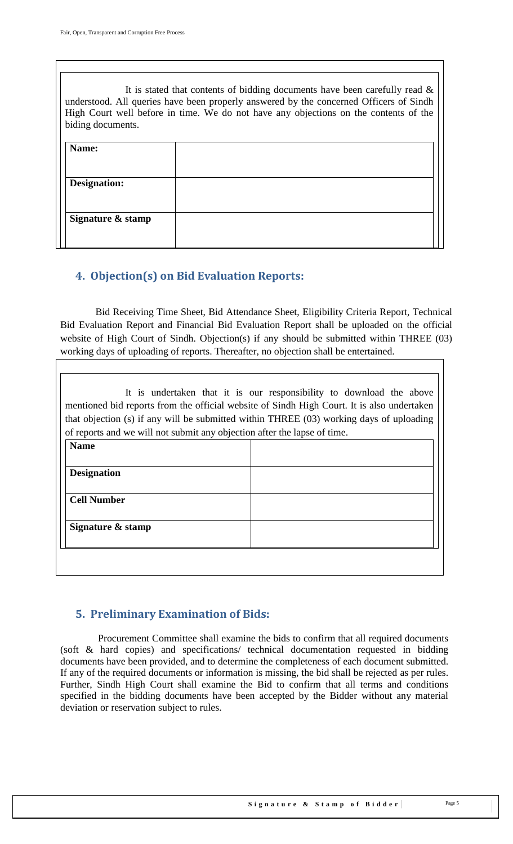It is stated that contents of bidding documents have been carefully read  $\&$ understood. All queries have been properly answered by the concerned Officers of Sindh High Court well before in time. We do not have any objections on the contents of the biding documents. **Name: Designation: Signature & stamp**

### <span id="page-4-0"></span>**4. Objection(s) on Bid Evaluation Reports:**

 Bid Receiving Time Sheet, Bid Attendance Sheet, Eligibility Criteria Report, Technical Bid Evaluation Report and Financial Bid Evaluation Report shall be uploaded on the official website of High Court of Sindh. Objection(s) if any should be submitted within THREE (03) working days of uploading of reports. Thereafter, no objection shall be entertained.

It is undertaken that it is our responsibility to download the above mentioned bid reports from the official website of Sindh High Court. It is also undertaken that objection (s) if any will be submitted within THREE (03) working days of uploading of reports and we will not submit any objection after the lapse of time.

| <b>Name</b>        |  |
|--------------------|--|
|                    |  |
| <b>Designation</b> |  |
| <b>Cell Number</b> |  |
|                    |  |
| Signature & stamp  |  |
|                    |  |

### <span id="page-4-1"></span>**5. Preliminary Examination of Bids:**

 Procurement Committee shall examine the bids to confirm that all required documents (soft & hard copies) and specifications/ technical documentation requested in bidding documents have been provided, and to determine the completeness of each document submitted. If any of the required documents or information is missing, the bid shall be rejected as per rules. Further, Sindh High Court shall examine the Bid to confirm that all terms and conditions specified in the bidding documents have been accepted by the Bidder without any material deviation or reservation subject to rules.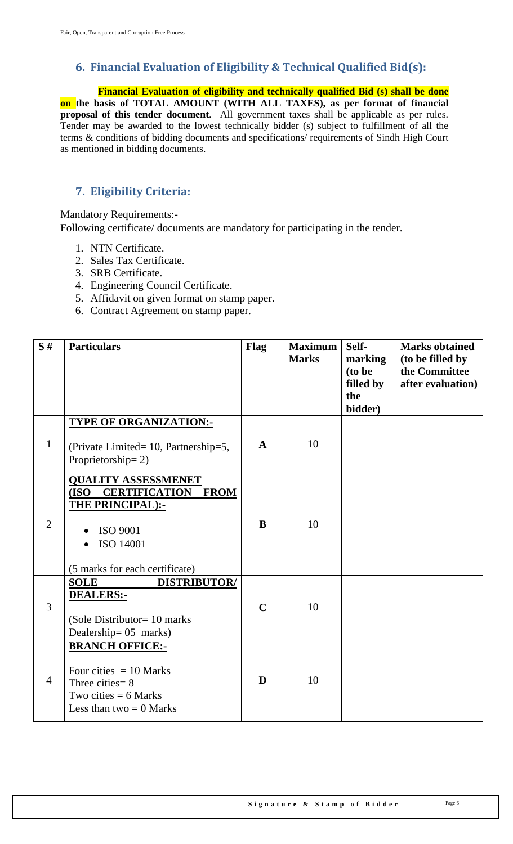### <span id="page-5-0"></span>**6. Financial Evaluation of Eligibility & Technical Qualified Bid(s):**

 **Financial Evaluation of eligibility and technically qualified Bid (s) shall be done on the basis of TOTAL AMOUNT (WITH ALL TAXES), as per format of financial proposal of this tender document**. All government taxes shall be applicable as per rules. Tender may be awarded to the lowest technically bidder (s) subject to fulfillment of all the terms & conditions of bidding documents and specifications/ requirements of Sindh High Court as mentioned in bidding documents.

### <span id="page-5-1"></span>**7. Eligibility Criteria:**

Mandatory Requirements:-

Following certificate/ documents are mandatory for participating in the tender.

- 1. NTN Certificate.
- 2. Sales Tax Certificate.
- 3. SRB Certificate.
- 4. Engineering Council Certificate.
- 5. Affidavit on given format on stamp paper.
- 6. Contract Agreement on stamp paper.

| S#             | <b>Particulars</b>                                                                                                                                 | Flag         | <b>Maximum</b><br><b>Marks</b> | Self-<br>marking<br>(to be<br>filled by<br>the<br>bidder) | <b>Marks obtained</b><br>(to be filled by<br>the Committee<br>after evaluation) |
|----------------|----------------------------------------------------------------------------------------------------------------------------------------------------|--------------|--------------------------------|-----------------------------------------------------------|---------------------------------------------------------------------------------|
| $\mathbf{1}$   | <b>TYPE OF ORGANIZATION:-</b><br>(Private Limited= 10, Partnership=5,<br>Proprietorship=2)                                                         | $\mathbf{A}$ | 10                             |                                                           |                                                                                 |
| $\overline{2}$ | <b>QUALITY ASSESSMENET</b><br>(ISO CERTIFICATION FROM<br><b>THE PRINCIPAL):-</b><br><b>ISO 9001</b><br>ISO 14001<br>(5 marks for each certificate) | B            | 10                             |                                                           |                                                                                 |
| 3              | <b>SOLE</b><br><b>DISTRIBUTOR/</b><br><b>DEALERS:-</b><br>(Sole Distributor= 10 marks)<br>Dealership= 05 marks)                                    | $\mathbf C$  | 10                             |                                                           |                                                                                 |
| $\overline{4}$ | <b>BRANCH OFFICE:-</b><br>Four cities $= 10$ Marks<br>Three cities $= 8$<br>Two cities $= 6$ Marks<br>Less than two $= 0$ Marks                    | D            | 10                             |                                                           |                                                                                 |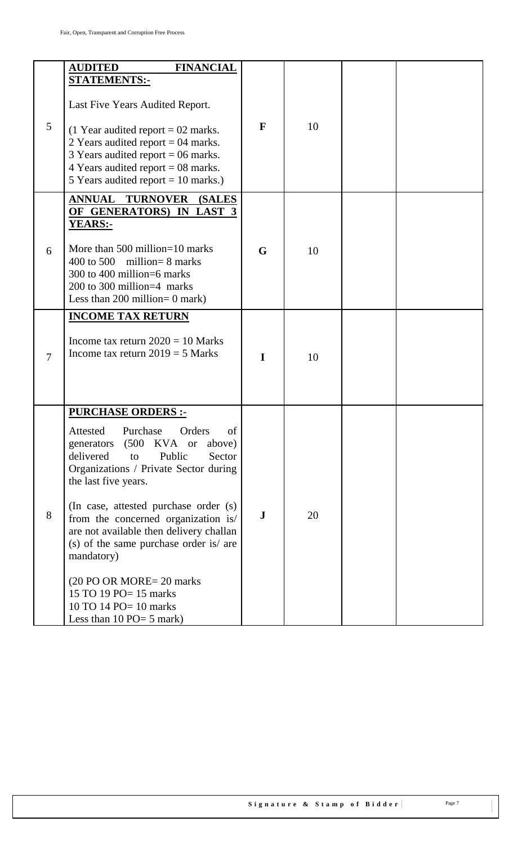| 5      | <b>AUDITED</b><br><b>FINANCIAL</b><br><b>STATEMENTS:-</b><br>Last Five Years Audited Report.<br>$(1$ Year audited report = 02 marks.<br>2 Years audited report = $04$ marks.<br>3 Years audited report = $06$ marks.<br>4 Years audited report = $08$ marks.<br>5 Years audited report = $10$ marks.)                                                                                                                                                                                                               | F           | 10 |  |
|--------|---------------------------------------------------------------------------------------------------------------------------------------------------------------------------------------------------------------------------------------------------------------------------------------------------------------------------------------------------------------------------------------------------------------------------------------------------------------------------------------------------------------------|-------------|----|--|
| 6      | <b>ANNUAL TURNOVER</b><br><b>(SALES)</b><br>OF GENERATORS) IN LAST 3<br><b>YEARS:-</b><br>More than $500$ million=10 marks<br>400 to 500 million = $8$ marks<br>300 to 400 million=6 marks<br>200 to 300 million=4 marks<br>Less than 200 million = $0$ mark)                                                                                                                                                                                                                                                       | G           | 10 |  |
| $\tau$ | <b>INCOME TAX RETURN</b><br>Income tax return $2020 = 10$ Marks<br>Income tax return $2019 = 5$ Marks                                                                                                                                                                                                                                                                                                                                                                                                               | I           | 10 |  |
| 8      | <b>PURCHASE ORDERS:-</b><br>Attested<br>Purchase<br>Orders<br>of<br>(500)<br>KVA or<br>above)<br>generators<br>delivered<br>Public<br>Sector<br>to<br>Organizations / Private Sector during<br>the last five years.<br>(In case, attested purchase order (s)<br>from the concerned organization is/<br>are not available then delivery challan<br>(s) of the same purchase order is/ are<br>mandatory)<br>(20 PO OR MORE= 20 marks)<br>15 TO 19 PO= 15 marks<br>10 TO 14 PO= 10 marks<br>Less than $10$ PO= 5 mark) | $\mathbf J$ | 20 |  |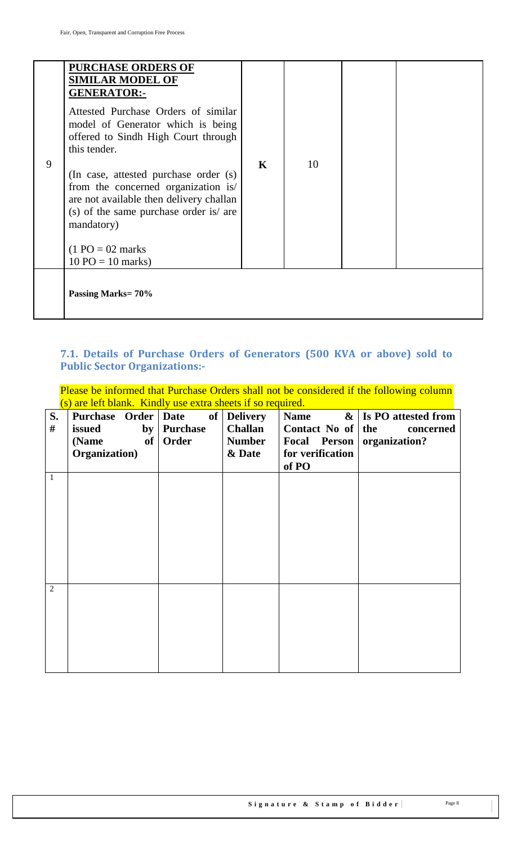|   | <b>PURCHASE ORDERS OF</b><br><b>SIMILAR MODEL OF</b><br><b>GENERATOR:-</b><br>Attested Purchase Orders of similar<br>model of Generator which is being<br>offered to Sindh High Court through<br>this tender.                               |             |    |  |
|---|---------------------------------------------------------------------------------------------------------------------------------------------------------------------------------------------------------------------------------------------|-------------|----|--|
| 9 | (In case, attested purchase order (s)<br>from the concerned organization is/<br>are not available then delivery challan<br>(s) of the same purchase order is/ are<br>mandatory)<br>$(1 PO = 02 marks$<br>$10 \text{ PO} = 10 \text{ marks}$ | $\mathbf K$ | 10 |  |
|   | Passing Marks=70%                                                                                                                                                                                                                           |             |    |  |

# <span id="page-7-0"></span>**7.1. Details of Purchase Orders of Generators (500 KVA or above) sold to Public Sector Organizations:-**

Please be informed that Purchase Orders shall not be considered if the following column (s) are left blank. Kindly use extra sheets if so required.

|                |                       | $\frac{10}{100}$ and the brannel random $\frac{100}{100}$ on $\frac{100}{100}$ in $\frac{100}{100}$ |                 | $rac{1}{2}$               |                          |
|----------------|-----------------------|-----------------------------------------------------------------------------------------------------|-----------------|---------------------------|--------------------------|
| S.             | Purchase Order   Date | of                                                                                                  | <b>Delivery</b> | <b>Name</b>               | $\&$ Is PO attested from |
| #              | issued                | by   Purchase                                                                                       | Challan         | Contact No of $\vert$ the | concerned                |
|                | (Name                 | of   Order                                                                                          | <b>Number</b>   | Focal Person              | organization?            |
|                | Organization)         |                                                                                                     | & Date          | for verification          |                          |
|                |                       |                                                                                                     |                 | of PO                     |                          |
| 1              |                       |                                                                                                     |                 |                           |                          |
|                |                       |                                                                                                     |                 |                           |                          |
|                |                       |                                                                                                     |                 |                           |                          |
|                |                       |                                                                                                     |                 |                           |                          |
|                |                       |                                                                                                     |                 |                           |                          |
|                |                       |                                                                                                     |                 |                           |                          |
|                |                       |                                                                                                     |                 |                           |                          |
|                |                       |                                                                                                     |                 |                           |                          |
|                |                       |                                                                                                     |                 |                           |                          |
| $\overline{2}$ |                       |                                                                                                     |                 |                           |                          |
|                |                       |                                                                                                     |                 |                           |                          |
|                |                       |                                                                                                     |                 |                           |                          |
|                |                       |                                                                                                     |                 |                           |                          |
|                |                       |                                                                                                     |                 |                           |                          |
|                |                       |                                                                                                     |                 |                           |                          |
|                |                       |                                                                                                     |                 |                           |                          |
|                |                       |                                                                                                     |                 |                           |                          |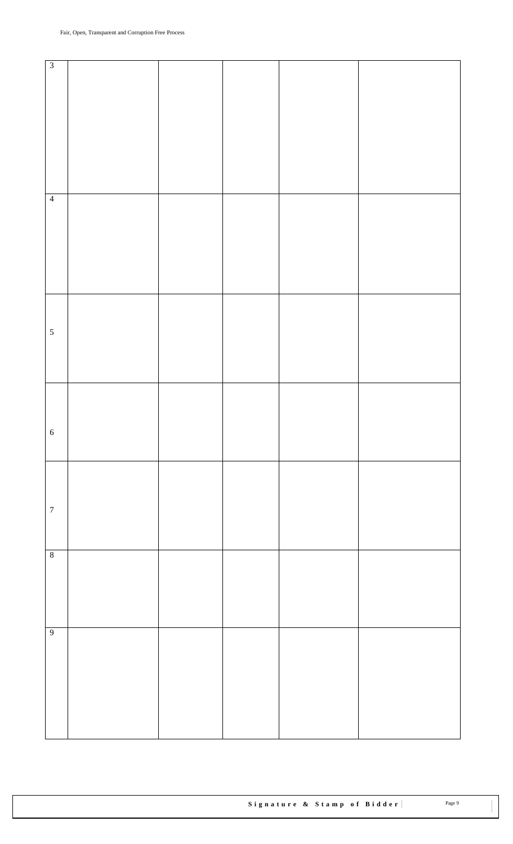| $\overline{\mathbf{3}}$ |  |  |  |
|-------------------------|--|--|--|
|                         |  |  |  |
|                         |  |  |  |
|                         |  |  |  |
|                         |  |  |  |
|                         |  |  |  |
|                         |  |  |  |
|                         |  |  |  |
|                         |  |  |  |
|                         |  |  |  |
|                         |  |  |  |
|                         |  |  |  |
|                         |  |  |  |
|                         |  |  |  |
| $\overline{4}$          |  |  |  |
|                         |  |  |  |
|                         |  |  |  |
|                         |  |  |  |
|                         |  |  |  |
|                         |  |  |  |
|                         |  |  |  |
|                         |  |  |  |
|                         |  |  |  |
|                         |  |  |  |
|                         |  |  |  |
|                         |  |  |  |
|                         |  |  |  |
|                         |  |  |  |
| $\overline{5}$          |  |  |  |
|                         |  |  |  |
|                         |  |  |  |
|                         |  |  |  |
|                         |  |  |  |
|                         |  |  |  |
|                         |  |  |  |
|                         |  |  |  |
|                         |  |  |  |
|                         |  |  |  |
|                         |  |  |  |
| $6\phantom{1}6$         |  |  |  |
|                         |  |  |  |
|                         |  |  |  |
|                         |  |  |  |
|                         |  |  |  |
|                         |  |  |  |
|                         |  |  |  |
|                         |  |  |  |
| $\overline{7}$          |  |  |  |
|                         |  |  |  |
|                         |  |  |  |
|                         |  |  |  |
|                         |  |  |  |
| $\overline{\mathbf{8}}$ |  |  |  |
|                         |  |  |  |
|                         |  |  |  |
|                         |  |  |  |
|                         |  |  |  |
|                         |  |  |  |
|                         |  |  |  |
|                         |  |  |  |
| $\overline{9}$          |  |  |  |
|                         |  |  |  |
|                         |  |  |  |
|                         |  |  |  |
|                         |  |  |  |
|                         |  |  |  |
|                         |  |  |  |
|                         |  |  |  |
|                         |  |  |  |
|                         |  |  |  |
|                         |  |  |  |
|                         |  |  |  |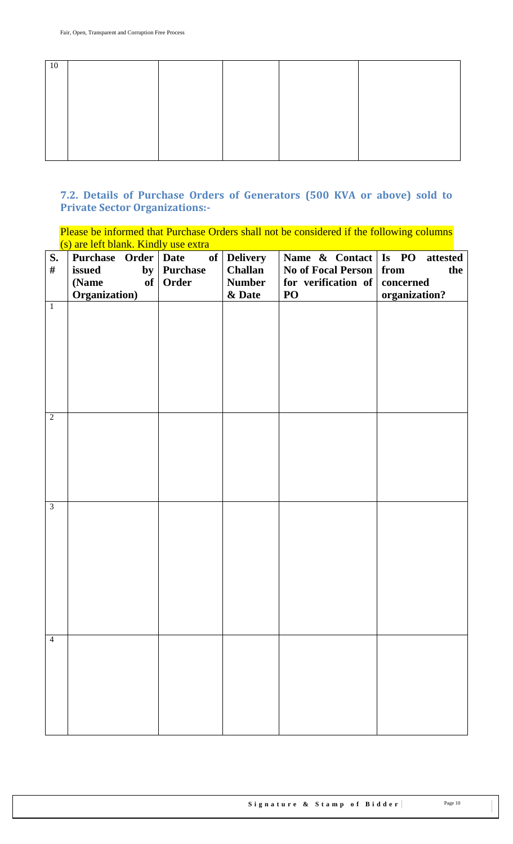| 10 |  |  |  |
|----|--|--|--|
|    |  |  |  |
|    |  |  |  |
|    |  |  |  |
|    |  |  |  |
|    |  |  |  |
|    |  |  |  |
|    |  |  |  |

# <span id="page-9-0"></span>**7.2. Details of Purchase Orders of Generators (500 KVA or above) sold to Private Sector Organizations:-**

Please be informed that Purchase Orders shall not be considered if the following columns (s) are left blank. Kindly use extra

| S.             | Purchase Order   Date | of              | <b>Delivery</b> | Name $\&$ Contact   Is PO | attested      |
|----------------|-----------------------|-----------------|-----------------|---------------------------|---------------|
| $\#$           | issued<br>by          | <b>Purchase</b> | <b>Challan</b>  | <b>No of Focal Person</b> | from<br>the   |
|                | (Name<br>of           | Order           | <b>Number</b>   | for verification of       | concerned     |
|                | Organization)         |                 | & Date          | PO                        | organization? |
| $1\,$          |                       |                 |                 |                           |               |
|                |                       |                 |                 |                           |               |
| $\overline{2}$ |                       |                 |                 |                           |               |
| $\overline{3}$ |                       |                 |                 |                           |               |
| $\overline{4}$ |                       |                 |                 |                           |               |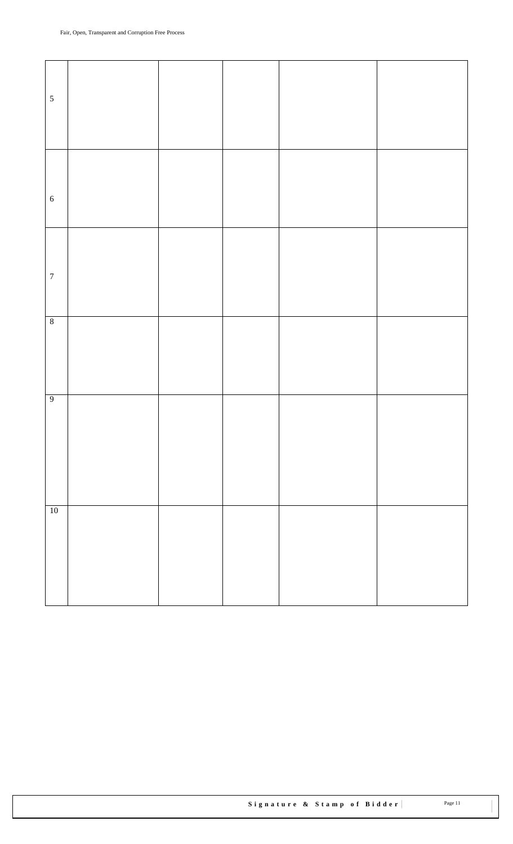| $\sqrt{5}$       |  |  |  |
|------------------|--|--|--|
|                  |  |  |  |
|                  |  |  |  |
|                  |  |  |  |
|                  |  |  |  |
|                  |  |  |  |
|                  |  |  |  |
|                  |  |  |  |
|                  |  |  |  |
| $\sqrt{6}$       |  |  |  |
|                  |  |  |  |
|                  |  |  |  |
|                  |  |  |  |
|                  |  |  |  |
|                  |  |  |  |
|                  |  |  |  |
| $\boldsymbol{7}$ |  |  |  |
|                  |  |  |  |
|                  |  |  |  |
|                  |  |  |  |
| $\sqrt{8}$       |  |  |  |
|                  |  |  |  |
|                  |  |  |  |
|                  |  |  |  |
|                  |  |  |  |
|                  |  |  |  |
| $\overline{9}$   |  |  |  |
|                  |  |  |  |
|                  |  |  |  |
|                  |  |  |  |
|                  |  |  |  |
|                  |  |  |  |
|                  |  |  |  |
|                  |  |  |  |
|                  |  |  |  |
|                  |  |  |  |
| $\overline{10}$  |  |  |  |
|                  |  |  |  |
|                  |  |  |  |
|                  |  |  |  |
|                  |  |  |  |
|                  |  |  |  |
|                  |  |  |  |
|                  |  |  |  |
|                  |  |  |  |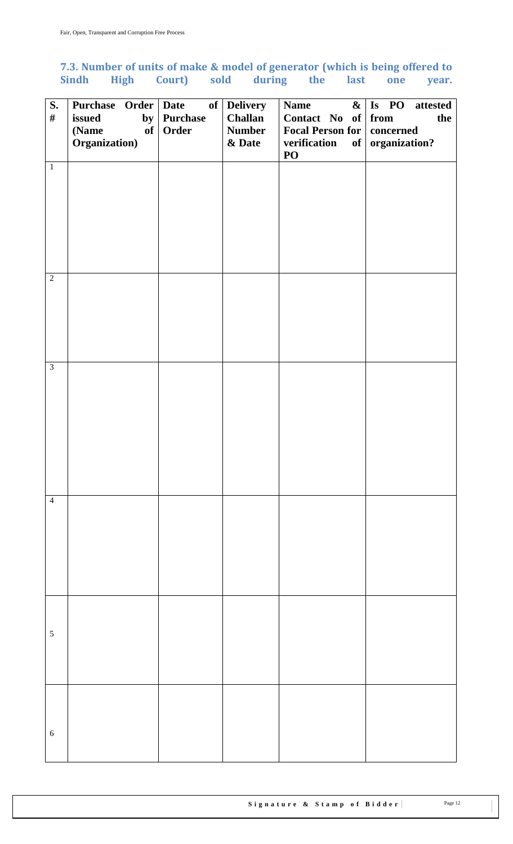# <span id="page-11-0"></span>**7.3. Number of units of make & model of generator (which is being offered to Sindh High Court) sold during the last one year.**

| S.<br>$\#$     | Purchase Order   Date<br>issued<br>by<br>of<br>(Name | of<br><b>Purchase</b><br>Order | <b>Delivery</b><br><b>Challan</b><br><b>Number</b> | <b>Name</b><br>$\boldsymbol{\&}$<br>Contact No of<br><b>Focal Person for</b> | Is PO attested<br>from<br>the<br>concerned |
|----------------|------------------------------------------------------|--------------------------------|----------------------------------------------------|------------------------------------------------------------------------------|--------------------------------------------|
|                | Organization)                                        |                                | & Date                                             | verification<br>$\bf{PO}$                                                    | of organization?                           |
| $\overline{1}$ |                                                      |                                |                                                    |                                                                              |                                            |
|                |                                                      |                                |                                                    |                                                                              |                                            |
|                |                                                      |                                |                                                    |                                                                              |                                            |
|                |                                                      |                                |                                                    |                                                                              |                                            |
|                |                                                      |                                |                                                    |                                                                              |                                            |
| $\overline{2}$ |                                                      |                                |                                                    |                                                                              |                                            |
|                |                                                      |                                |                                                    |                                                                              |                                            |
|                |                                                      |                                |                                                    |                                                                              |                                            |
|                |                                                      |                                |                                                    |                                                                              |                                            |
| $\overline{3}$ |                                                      |                                |                                                    |                                                                              |                                            |
|                |                                                      |                                |                                                    |                                                                              |                                            |
|                |                                                      |                                |                                                    |                                                                              |                                            |
|                |                                                      |                                |                                                    |                                                                              |                                            |
|                |                                                      |                                |                                                    |                                                                              |                                            |
|                |                                                      |                                |                                                    |                                                                              |                                            |
| $\overline{4}$ |                                                      |                                |                                                    |                                                                              |                                            |
|                |                                                      |                                |                                                    |                                                                              |                                            |
|                |                                                      |                                |                                                    |                                                                              |                                            |
|                |                                                      |                                |                                                    |                                                                              |                                            |
|                |                                                      |                                |                                                    |                                                                              |                                            |
|                |                                                      |                                |                                                    |                                                                              |                                            |
| $\sqrt{5}$     |                                                      |                                |                                                    |                                                                              |                                            |
|                |                                                      |                                |                                                    |                                                                              |                                            |
|                |                                                      |                                |                                                    |                                                                              |                                            |
|                |                                                      |                                |                                                    |                                                                              |                                            |
| $\sqrt{6}$     |                                                      |                                |                                                    |                                                                              |                                            |
|                |                                                      |                                |                                                    |                                                                              |                                            |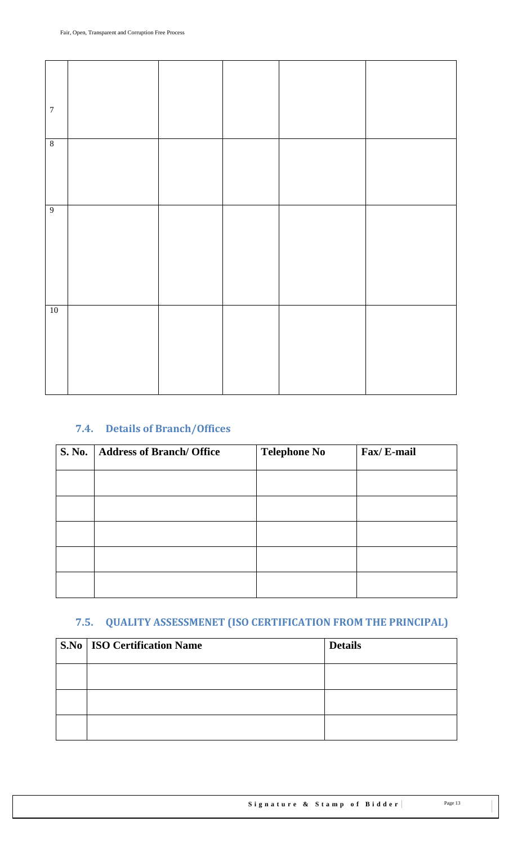| $\boldsymbol{7}$ |  |  |  |
|------------------|--|--|--|
| $\boldsymbol{8}$ |  |  |  |
| $\overline{9}$   |  |  |  |
| $10\,$           |  |  |  |

# <span id="page-12-0"></span>**7.4. Details of Branch/Offices**

| <b>S. No.</b> | <b>Address of Branch/ Office</b> | <b>Telephone No</b> | Fax/E-mail |
|---------------|----------------------------------|---------------------|------------|
|               |                                  |                     |            |
|               |                                  |                     |            |
|               |                                  |                     |            |
|               |                                  |                     |            |
|               |                                  |                     |            |

# <span id="page-12-1"></span>**7.5. QUALITY ASSESSMENET (ISO CERTIFICATION FROM THE PRINCIPAL)**

| <b>S.No   ISO Certification Name</b> | <b>Details</b> |
|--------------------------------------|----------------|
|                                      |                |
|                                      |                |
|                                      |                |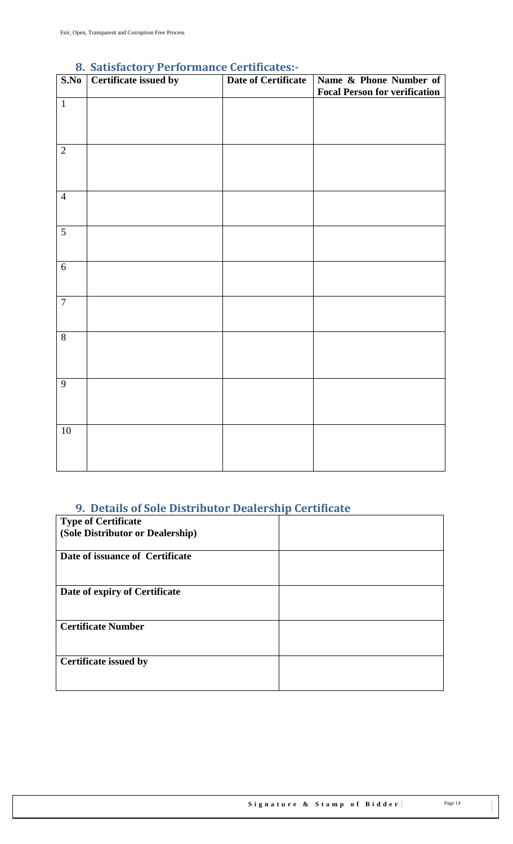<span id="page-13-0"></span>

| S.No           | o. Sausiación y Periormance del unicates:-<br>Certificate issued by | <b>Date of Certificate</b> | Name & Phone Number of<br><b>Focal Person for verification</b> |
|----------------|---------------------------------------------------------------------|----------------------------|----------------------------------------------------------------|
| $\mathbf{1}$   |                                                                     |                            |                                                                |
| $\overline{2}$ |                                                                     |                            |                                                                |
| $\overline{4}$ |                                                                     |                            |                                                                |
| 5              |                                                                     |                            |                                                                |
| 6              |                                                                     |                            |                                                                |
| $\overline{7}$ |                                                                     |                            |                                                                |
| $\overline{8}$ |                                                                     |                            |                                                                |
| $\overline{9}$ |                                                                     |                            |                                                                |
| $10\,$         |                                                                     |                            |                                                                |

### **8. Satisfactory Performance Certificates:-**

# <span id="page-13-1"></span>**9. Details of Sole Distributor Dealership Certificate**

| <b>Type of Certificate</b>       |  |
|----------------------------------|--|
| (Sole Distributor or Dealership) |  |
| Date of issuance of Certificate  |  |
| Date of expiry of Certificate    |  |
| <b>Certificate Number</b>        |  |
| <b>Certificate issued by</b>     |  |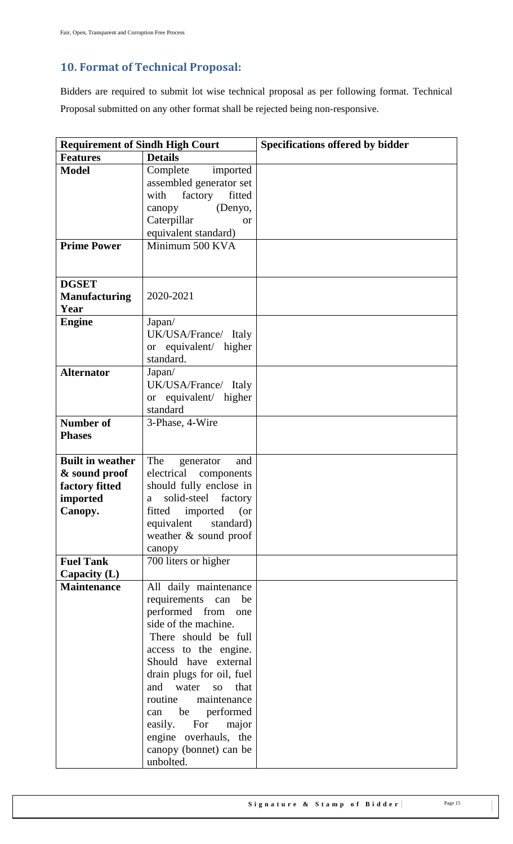# <span id="page-14-0"></span>**10. Format of Technical Proposal:**

Bidders are required to submit lot wise technical proposal as per following format. Technical Proposal submitted on any other format shall be rejected being non-responsive.

| <b>Requirement of Sindh High Court</b>       |                                     | <b>Specifications offered by bidder</b> |
|----------------------------------------------|-------------------------------------|-----------------------------------------|
| <b>Features</b>                              | <b>Details</b>                      |                                         |
| <b>Model</b>                                 | Complete<br>imported                |                                         |
|                                              | assembled generator set             |                                         |
|                                              | fitted<br>with<br>factory           |                                         |
|                                              | (Denyo,<br>canopy                   |                                         |
|                                              | Caterpillar<br>or                   |                                         |
|                                              | equivalent standard)                |                                         |
| <b>Prime Power</b>                           | Minimum 500 KVA                     |                                         |
| <b>DGSET</b><br><b>Manufacturing</b><br>Year | 2020-2021                           |                                         |
| <b>Engine</b>                                | Japan/                              |                                         |
|                                              | UK/USA/France/ Italy                |                                         |
|                                              | or equivalent/ higher               |                                         |
|                                              | standard.                           |                                         |
| <b>Alternator</b>                            | Japan/                              |                                         |
|                                              | UK/USA/France/ Italy                |                                         |
|                                              | or equivalent/ higher               |                                         |
|                                              | standard                            |                                         |
| <b>Number of</b><br><b>Phases</b>            | 3-Phase, 4-Wire                     |                                         |
| <b>Built in weather</b>                      | The<br>generator<br>and             |                                         |
| & sound proof                                | electrical<br>components            |                                         |
| factory fitted                               | should fully enclose in             |                                         |
| imported                                     | solid-steel<br>factory<br>a         |                                         |
| Canopy.                                      | fitted imported (or                 |                                         |
|                                              | equivalent<br>standard)             |                                         |
|                                              | weather & sound proof               |                                         |
|                                              | canopy                              |                                         |
| <b>Fuel Tank</b>                             | 700 liters or higher                |                                         |
| Capacity (L)                                 |                                     |                                         |
| <b>Maintenance</b>                           | All daily maintenance               |                                         |
|                                              | requirements can<br>be              |                                         |
|                                              | performed from<br>one               |                                         |
|                                              | side of the machine.                |                                         |
|                                              | There should be full                |                                         |
|                                              | access to the engine.               |                                         |
|                                              | Should have external                |                                         |
|                                              | drain plugs for oil, fuel           |                                         |
|                                              | and water<br>SO<br>that             |                                         |
|                                              | routine<br>maintenance              |                                         |
|                                              | be performed<br>can                 |                                         |
|                                              | easily. For<br>major                |                                         |
|                                              | engine overhauls, the               |                                         |
|                                              | canopy (bonnet) can be<br>unbolted. |                                         |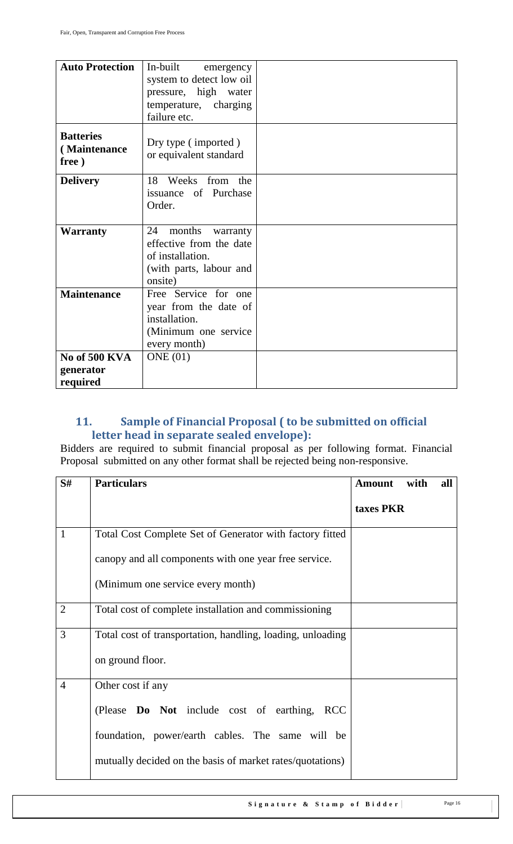| <b>Auto Protection</b>                    | In-built<br>emergency<br>system to detect low oil<br>pressure, high water<br>temperature, charging<br>failure etc. |  |
|-------------------------------------------|--------------------------------------------------------------------------------------------------------------------|--|
| <b>Batteries</b><br>(Maintenance<br>free) | Dry type (imported)<br>or equivalent standard                                                                      |  |
| <b>Delivery</b>                           | 18 Weeks from the<br>issuance of Purchase<br>Order.                                                                |  |
| <b>Warranty</b>                           | 24<br>months<br>warranty<br>effective from the date<br>of installation.<br>(with parts, labour and<br>onsite)      |  |
| <b>Maintenance</b>                        | Free Service for one<br>year from the date of<br>installation.<br>(Minimum one service<br>every month)             |  |
| No of 500 KVA<br>generator<br>required    | ONE(01)                                                                                                            |  |

# <span id="page-15-0"></span>**11. Sample of Financial Proposal ( to be submitted on official letter head in separate sealed envelope):**

Bidders are required to submit financial proposal as per following format. Financial Proposal submitted on any other format shall be rejected being non-responsive.

| S#             | <b>Particulars</b>                                         | <b>Amount</b> | with | all |
|----------------|------------------------------------------------------------|---------------|------|-----|
|                |                                                            | taxes PKR     |      |     |
| $\mathbf{1}$   | Total Cost Complete Set of Generator with factory fitted   |               |      |     |
|                | canopy and all components with one year free service.      |               |      |     |
|                | (Minimum one service every month)                          |               |      |     |
| $\overline{2}$ | Total cost of complete installation and commissioning      |               |      |     |
| 3              | Total cost of transportation, handling, loading, unloading |               |      |     |
|                | on ground floor.                                           |               |      |     |
| $\overline{4}$ | Other cost if any                                          |               |      |     |
|                | (Please Do Not include cost of earthing, RCC               |               |      |     |
|                | foundation, power/earth cables. The same will be           |               |      |     |
|                | mutually decided on the basis of market rates/quotations)  |               |      |     |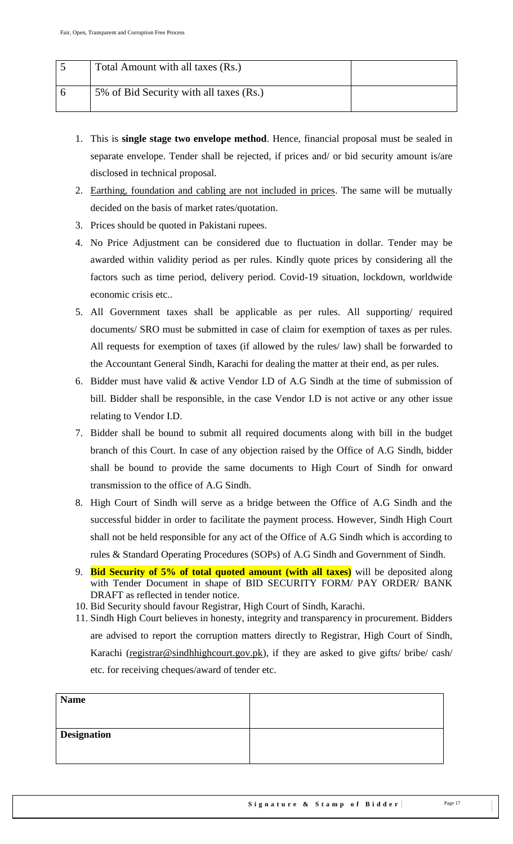| Total Amount with all taxes (Rs.)       |  |
|-----------------------------------------|--|
| 5% of Bid Security with all taxes (Rs.) |  |

- 1. This is **single stage two envelope method**. Hence, financial proposal must be sealed in separate envelope. Tender shall be rejected, if prices and/ or bid security amount is/are disclosed in technical proposal.
- 2. Earthing, foundation and cabling are not included in prices. The same will be mutually decided on the basis of market rates/quotation.
- 3. Prices should be quoted in Pakistani rupees.
- 4. No Price Adjustment can be considered due to fluctuation in dollar. Tender may be awarded within validity period as per rules. Kindly quote prices by considering all the factors such as time period, delivery period. Covid-19 situation, lockdown, worldwide economic crisis etc..
- 5. All Government taxes shall be applicable as per rules. All supporting/ required documents/ SRO must be submitted in case of claim for exemption of taxes as per rules. All requests for exemption of taxes (if allowed by the rules/ law) shall be forwarded to the Accountant General Sindh, Karachi for dealing the matter at their end, as per rules.
- 6. Bidder must have valid & active Vendor I.D of A.G Sindh at the time of submission of bill. Bidder shall be responsible, in the case Vendor I.D is not active or any other issue relating to Vendor I.D.
- 7. Bidder shall be bound to submit all required documents along with bill in the budget branch of this Court. In case of any objection raised by the Office of A.G Sindh, bidder shall be bound to provide the same documents to High Court of Sindh for onward transmission to the office of A.G Sindh.
- 8. High Court of Sindh will serve as a bridge between the Office of A.G Sindh and the successful bidder in order to facilitate the payment process. However, Sindh High Court shall not be held responsible for any act of the Office of A.G Sindh which is according to rules & Standard Operating Procedures (SOPs) of A.G Sindh and Government of Sindh.
- 9. **Bid Security of 5% of total quoted amount (with all taxes)** will be deposited along with Tender Document in shape of BID SECURITY FORM/ PAY ORDER/ BANK DRAFT as reflected in tender notice.
- 10. Bid Security should favour Registrar, High Court of Sindh, Karachi.
- 11. Sindh High Court believes in honesty, integrity and transparency in procurement. Bidders are advised to report the corruption matters directly to Registrar, High Court of Sindh, Karachi [\(registrar@sindhhighcourt.gov.pk\)](mailto:registrar@sindhhighcourt.gov.pk), if they are asked to give gifts/ bribe/ cash/ etc. for receiving cheques/award of tender etc.

| <b>Name</b>        |  |
|--------------------|--|
|                    |  |
| <b>Designation</b> |  |
|                    |  |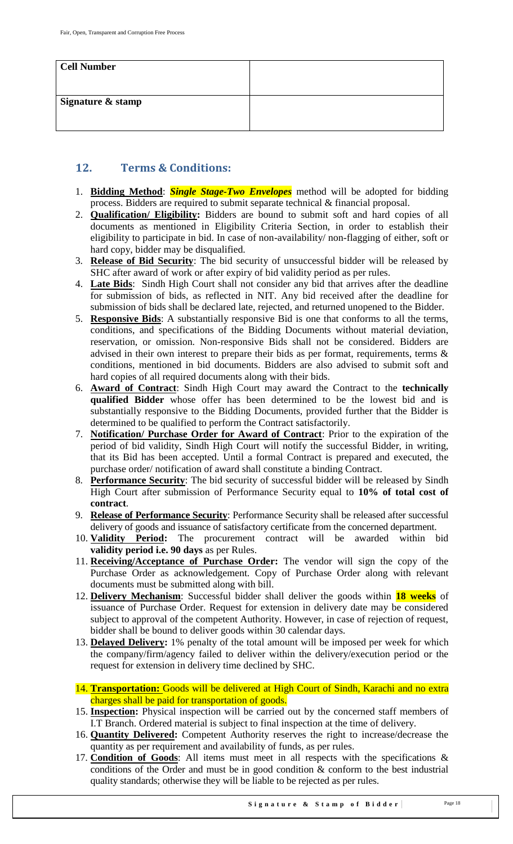| <b>Cell Number</b> |  |
|--------------------|--|
| Signature & stamp  |  |

### <span id="page-17-0"></span>**12. Terms & Conditions:**

- 1. **Bidding Method**: *Single Stage-Two Envelopes* method will be adopted for bidding process. Bidders are required to submit separate technical & financial proposal.
- 2. **Qualification/ Eligibility:** Bidders are bound to submit soft and hard copies of all documents as mentioned in Eligibility Criteria Section, in order to establish their eligibility to participate in bid. In case of non-availability/ non-flagging of either, soft or hard copy, bidder may be disqualified.
- 3. **Release of Bid Security**: The bid security of unsuccessful bidder will be released by SHC after award of work or after expiry of bid validity period as per rules.
- 4. **Late Bids**: Sindh High Court shall not consider any bid that arrives after the deadline for submission of bids, as reflected in NIT. Any bid received after the deadline for submission of bids shall be declared late, rejected, and returned unopened to the Bidder.
- 5. **Responsive Bids**: A substantially responsive Bid is one that conforms to all the terms, conditions, and specifications of the Bidding Documents without material deviation, reservation, or omission. Non-responsive Bids shall not be considered. Bidders are advised in their own interest to prepare their bids as per format, requirements, terms & conditions, mentioned in bid documents. Bidders are also advised to submit soft and hard copies of all required documents along with their bids.
- 6. **Award of Contract**: Sindh High Court may award the Contract to the **technically qualified Bidder** whose offer has been determined to be the lowest bid and is substantially responsive to the Bidding Documents, provided further that the Bidder is determined to be qualified to perform the Contract satisfactorily.
- 7. **Notification/ Purchase Order for Award of Contract**: Prior to the expiration of the period of bid validity, Sindh High Court will notify the successful Bidder, in writing, that its Bid has been accepted. Until a formal Contract is prepared and executed, the purchase order/ notification of award shall constitute a binding Contract.
- 8. **Performance Security**: The bid security of successful bidder will be released by Sindh High Court after submission of Performance Security equal to **10% of total cost of contract**.
- 9. **Release of Performance Security**: Performance Security shall be released after successful delivery of goods and issuance of satisfactory certificate from the concerned department.
- 10. **Validity Period:** The procurement contract will be awarded within bid **validity period i.e. 90 days** as per Rules.
- 11. **Receiving/Acceptance of Purchase Order:** The vendor will sign the copy of the Purchase Order as acknowledgement. Copy of Purchase Order along with relevant documents must be submitted along with bill.
- 12. **Delivery Mechanism**: Successful bidder shall deliver the goods within **18 weeks** of issuance of Purchase Order. Request for extension in delivery date may be considered subject to approval of the competent Authority. However, in case of rejection of request, bidder shall be bound to deliver goods within 30 calendar days.
- 13. **Delayed Delivery:** 1% penalty of the total amount will be imposed per week for which the company/firm/agency failed to deliver within the delivery/execution period or the request for extension in delivery time declined by SHC.
- 14. **Transportation:** Goods will be delivered at High Court of Sindh, Karachi and no extra charges shall be paid for transportation of goods.
- 15. **Inspection:** Physical inspection will be carried out by the concerned staff members of I.T Branch. Ordered material is subject to final inspection at the time of delivery.
- 16. **Quantity Delivered:** Competent Authority reserves the right to increase/decrease the quantity as per requirement and availability of funds, as per rules.
- 17. **Condition of Goods**: All items must meet in all respects with the specifications & conditions of the Order and must be in good condition & conform to the best industrial quality standards; otherwise they will be liable to be rejected as per rules.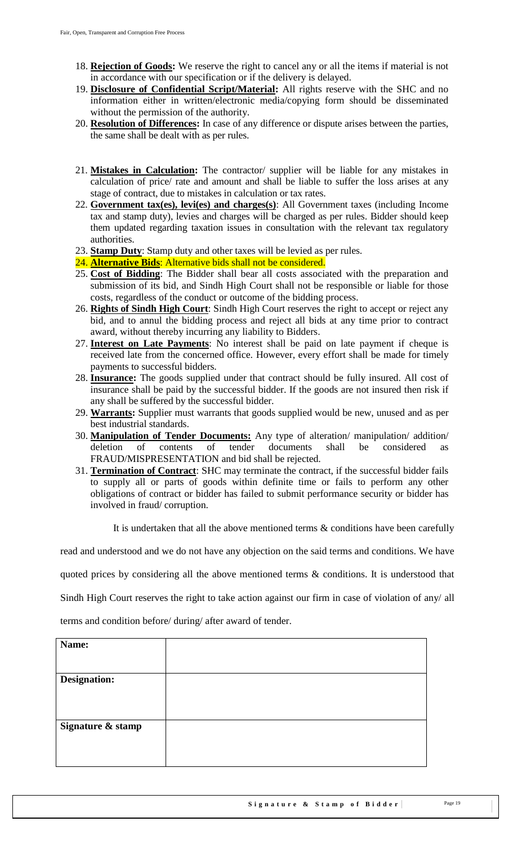- 18. **Rejection of Goods:** We reserve the right to cancel any or all the items if material is not in accordance with our specification or if the delivery is delayed.
- 19. **Disclosure of Confidential Script/Material:** All rights reserve with the SHC and no information either in written/electronic media/copying form should be disseminated without the permission of the authority.
- 20. **Resolution of Differences:** In case of any difference or dispute arises between the parties, the same shall be dealt with as per rules.
- 21. **Mistakes in Calculation:** The contractor/ supplier will be liable for any mistakes in calculation of price/ rate and amount and shall be liable to suffer the loss arises at any stage of contract, due to mistakes in calculation or tax rates.
- 22. **Government tax(es), levi(es) and charges(s)**: All Government taxes (including Income tax and stamp duty), levies and charges will be charged as per rules. Bidder should keep them updated regarding taxation issues in consultation with the relevant tax regulatory authorities.
- 23. **Stamp Duty**: Stamp duty and other taxes will be levied as per rules.
- 24. **Alternative Bids**: Alternative bids shall not be considered.
- 25. **Cost of Bidding**: The Bidder shall bear all costs associated with the preparation and submission of its bid, and Sindh High Court shall not be responsible or liable for those costs, regardless of the conduct or outcome of the bidding process.
- 26. **Rights of Sindh High Court**: Sindh High Court reserves the right to accept or reject any bid, and to annul the bidding process and reject all bids at any time prior to contract award, without thereby incurring any liability to Bidders.
- 27. **Interest on Late Payments**: No interest shall be paid on late payment if cheque is received late from the concerned office. However, every effort shall be made for timely payments to successful bidders.
- 28. **Insurance:** The goods supplied under that contract should be fully insured. All cost of insurance shall be paid by the successful bidder. If the goods are not insured then risk if any shall be suffered by the successful bidder.
- 29. **Warrants:** Supplier must warrants that goods supplied would be new, unused and as per best industrial standards.
- 30. **Manipulation of Tender Documents:** Any type of alteration/ manipulation/ addition/ deletion of contents of tender documents shall be considered FRAUD/MISPRESENTATION and bid shall be rejected.
- 31. **Termination of Contract**: SHC may terminate the contract, if the successful bidder fails to supply all or parts of goods within definite time or fails to perform any other obligations of contract or bidder has failed to submit performance security or bidder has involved in fraud/ corruption.

It is undertaken that all the above mentioned terms & conditions have been carefully

read and understood and we do not have any objection on the said terms and conditions. We have

quoted prices by considering all the above mentioned terms & conditions. It is understood that

Sindh High Court reserves the right to take action against our firm in case of violation of any/ all

terms and condition before/ during/ after award of tender.

| Name:               |  |
|---------------------|--|
|                     |  |
|                     |  |
| <b>Designation:</b> |  |
|                     |  |
|                     |  |
|                     |  |
| Signature & stamp   |  |
|                     |  |
|                     |  |
|                     |  |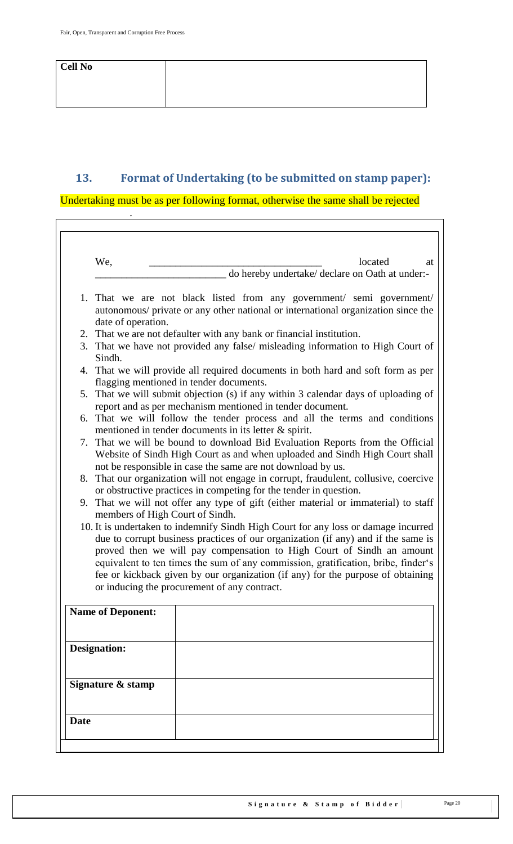.

 $\overline{\Gamma}$ 

# <span id="page-19-0"></span>**13. Format of Undertaking (to be submitted on stamp paper):**

Undertaking must be as per following format, otherwise the same shall be rejected

|             | We,                                                                                                                                                                                                                                                                                                                                   |  |  | located                                         | at |
|-------------|---------------------------------------------------------------------------------------------------------------------------------------------------------------------------------------------------------------------------------------------------------------------------------------------------------------------------------------|--|--|-------------------------------------------------|----|
|             |                                                                                                                                                                                                                                                                                                                                       |  |  | do hereby undertake/ declare on Oath at under:- |    |
|             | 1. That we are not black listed from any government/ semi government/<br>autonomous/ private or any other national or international organization since the<br>date of operation.                                                                                                                                                      |  |  |                                                 |    |
|             | 2. That we are not defaulter with any bank or financial institution.                                                                                                                                                                                                                                                                  |  |  |                                                 |    |
|             | 3. That we have not provided any false/ misleading information to High Court of<br>Sindh.                                                                                                                                                                                                                                             |  |  |                                                 |    |
|             | 4. That we will provide all required documents in both hard and soft form as per<br>flagging mentioned in tender documents.                                                                                                                                                                                                           |  |  |                                                 |    |
|             | 5. That we will submit objection (s) if any within 3 calendar days of uploading of<br>report and as per mechanism mentioned in tender document.                                                                                                                                                                                       |  |  |                                                 |    |
|             | 6. That we will follow the tender process and all the terms and conditions<br>mentioned in tender documents in its letter & spirit.                                                                                                                                                                                                   |  |  |                                                 |    |
|             | 7. That we will be bound to download Bid Evaluation Reports from the Official<br>Website of Sindh High Court as and when uploaded and Sindh High Court shall<br>not be responsible in case the same are not download by us.                                                                                                           |  |  |                                                 |    |
|             | 8. That our organization will not engage in corrupt, fraudulent, collusive, coercive<br>or obstructive practices in competing for the tender in question.                                                                                                                                                                             |  |  |                                                 |    |
|             | 9. That we will not offer any type of gift (either material or immaterial) to staff<br>members of High Court of Sindh.                                                                                                                                                                                                                |  |  |                                                 |    |
|             | 10. It is undertaken to indemnify Sindh High Court for any loss or damage incurred<br>due to corrupt business practices of our organization (if any) and if the same is<br>proved then we will pay compensation to High Court of Sindh an amount<br>equivalent to ten times the sum of any commission, gratification, bribe, finder's |  |  |                                                 |    |
|             | fee or kickback given by our organization (if any) for the purpose of obtaining<br>or inducing the procurement of any contract.                                                                                                                                                                                                       |  |  |                                                 |    |
|             | <b>Name of Deponent:</b>                                                                                                                                                                                                                                                                                                              |  |  |                                                 |    |
|             | <b>Designation:</b>                                                                                                                                                                                                                                                                                                                   |  |  |                                                 |    |
|             | Signature & stamp                                                                                                                                                                                                                                                                                                                     |  |  |                                                 |    |
|             |                                                                                                                                                                                                                                                                                                                                       |  |  |                                                 |    |
| <b>Date</b> |                                                                                                                                                                                                                                                                                                                                       |  |  |                                                 |    |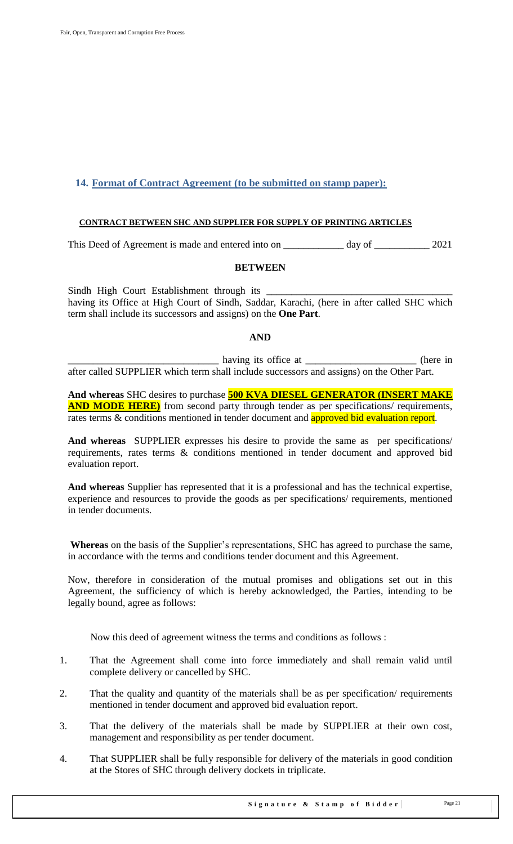### <span id="page-20-0"></span>**14. Format of Contract Agreement (to be submitted on stamp paper):**

#### **CONTRACT BETWEEN SHC AND SUPPLIER FOR SUPPLY OF PRINTING ARTICLES**

This Deed of Agreement is made and entered into on \_\_\_\_\_\_\_\_\_\_\_\_\_\_ day of \_\_\_\_\_\_\_\_\_\_\_\_ 2021

#### **BETWEEN**

Sindh High Court Establishment through its having its Office at High Court of Sindh, Saddar, Karachi, (here in after called SHC which term shall include its successors and assigns) on the **One Part**.

### **AND**

having its office at \_\_\_\_\_\_\_\_\_\_\_\_\_\_\_\_\_\_\_\_\_\_ (here in after called SUPPLIER which term shall include successors and assigns) on the Other Part.

**And whereas** SHC desires to purchase **500 KVA DIESEL GENERATOR (INSERT MAKE AND MODE HERE)** from second party through tender as per specifications/ requirements, rates terms & conditions mentioned in tender document and approved bid evaluation report.

**And whereas** SUPPLIER expresses his desire to provide the same as per specifications/ requirements, rates terms & conditions mentioned in tender document and approved bid evaluation report.

**And whereas** Supplier has represented that it is a professional and has the technical expertise, experience and resources to provide the goods as per specifications/ requirements, mentioned in tender documents.

Whereas on the basis of the Supplier's representations, SHC has agreed to purchase the same, in accordance with the terms and conditions tender document and this Agreement.

Now, therefore in consideration of the mutual promises and obligations set out in this Agreement, the sufficiency of which is hereby acknowledged, the Parties, intending to be legally bound, agree as follows:

Now this deed of agreement witness the terms and conditions as follows :

- 1. That the Agreement shall come into force immediately and shall remain valid until complete delivery or cancelled by SHC.
- 2. That the quality and quantity of the materials shall be as per specification/ requirements mentioned in tender document and approved bid evaluation report.
- 3. That the delivery of the materials shall be made by SUPPLIER at their own cost, management and responsibility as per tender document.
- 4. That SUPPLIER shall be fully responsible for delivery of the materials in good condition at the Stores of SHC through delivery dockets in triplicate.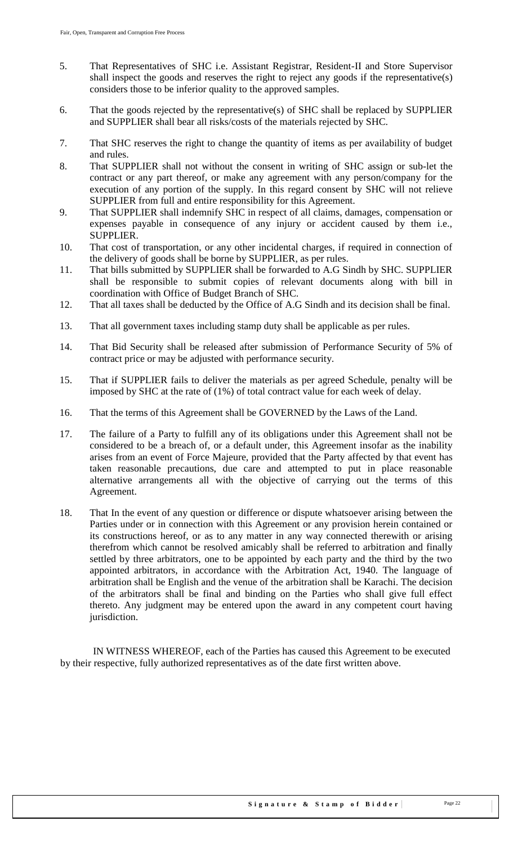- 5. That Representatives of SHC i.e. Assistant Registrar, Resident-II and Store Supervisor shall inspect the goods and reserves the right to reject any goods if the representative(s) considers those to be inferior quality to the approved samples.
- 6. That the goods rejected by the representative(s) of SHC shall be replaced by SUPPLIER and SUPPLIER shall bear all risks/costs of the materials rejected by SHC.
- 7. That SHC reserves the right to change the quantity of items as per availability of budget and rules.
- 8. That SUPPLIER shall not without the consent in writing of SHC assign or sub-let the contract or any part thereof, or make any agreement with any person/company for the execution of any portion of the supply. In this regard consent by SHC will not relieve SUPPLIER from full and entire responsibility for this Agreement.
- 9. That SUPPLIER shall indemnify SHC in respect of all claims, damages, compensation or expenses payable in consequence of any injury or accident caused by them i.e., SUPPLIER.
- 10. That cost of transportation, or any other incidental charges, if required in connection of the delivery of goods shall be borne by SUPPLIER, as per rules.
- 11. That bills submitted by SUPPLIER shall be forwarded to A.G Sindh by SHC. SUPPLIER shall be responsible to submit copies of relevant documents along with bill in coordination with Office of Budget Branch of SHC.
- 12. That all taxes shall be deducted by the Office of A.G Sindh and its decision shall be final.
- 13. That all government taxes including stamp duty shall be applicable as per rules.
- 14. That Bid Security shall be released after submission of Performance Security of 5% of contract price or may be adjusted with performance security.
- 15. That if SUPPLIER fails to deliver the materials as per agreed Schedule, penalty will be imposed by SHC at the rate of (1%) of total contract value for each week of delay.
- 16. That the terms of this Agreement shall be GOVERNED by the Laws of the Land.
- 17. The failure of a Party to fulfill any of its obligations under this Agreement shall not be considered to be a breach of, or a default under, this Agreement insofar as the inability arises from an event of Force Majeure, provided that the Party affected by that event has taken reasonable precautions, due care and attempted to put in place reasonable alternative arrangements all with the objective of carrying out the terms of this Agreement.
- 18. That In the event of any question or difference or dispute whatsoever arising between the Parties under or in connection with this Agreement or any provision herein contained or its constructions hereof, or as to any matter in any way connected therewith or arising therefrom which cannot be resolved amicably shall be referred to arbitration and finally settled by three arbitrators, one to be appointed by each party and the third by the two appointed arbitrators, in accordance with the Arbitration Act, 1940. The language of arbitration shall be English and the venue of the arbitration shall be Karachi. The decision of the arbitrators shall be final and binding on the Parties who shall give full effect thereto. Any judgment may be entered upon the award in any competent court having jurisdiction.

 IN WITNESS WHEREOF, each of the Parties has caused this Agreement to be executed by their respective, fully authorized representatives as of the date first written above.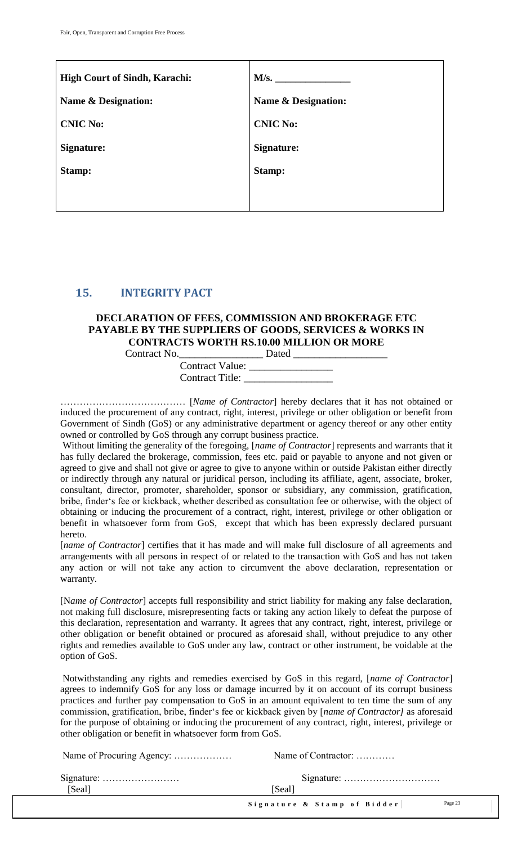| <b>High Court of Sindh, Karachi:</b> | M/s.                           |
|--------------------------------------|--------------------------------|
| <b>Name &amp; Designation:</b>       | <b>Name &amp; Designation:</b> |
| <b>CNIC No:</b>                      | <b>CNIC No:</b>                |
| Signature:                           | Signature:                     |
| Stamp:                               | Stamp:                         |
|                                      |                                |

### <span id="page-22-0"></span>**15. INTEGRITY PACT**

#### **DECLARATION OF FEES, COMMISSION AND BROKERAGE ETC PAYABLE BY THE SUPPLIERS OF GOODS, SERVICES & WORKS IN CONTRACTS WORTH RS.10.00 MILLION OR MORE**

| Contract No.                                     | Dated |
|--------------------------------------------------|-------|
| <b>Contract Value:</b><br><b>Contract Title:</b> |       |

………………………………… [*Name of Contractor*] hereby declares that it has not obtained or induced the procurement of any contract, right, interest, privilege or other obligation or benefit from Government of Sindh (GoS) or any administrative department or agency thereof or any other entity owned or controlled by GoS through any corrupt business practice.

Without limiting the generality of the foregoing, [*name of Contractor*] represents and warrants that it has fully declared the brokerage, commission, fees etc. paid or payable to anyone and not given or agreed to give and shall not give or agree to give to anyone within or outside Pakistan either directly or indirectly through any natural or juridical person, including its affiliate, agent, associate, broker, consultant, director, promoter, shareholder, sponsor or subsidiary, any commission, gratification, bribe, finder"s fee or kickback, whether described as consultation fee or otherwise, with the object of obtaining or inducing the procurement of a contract, right, interest, privilege or other obligation or benefit in whatsoever form from GoS, except that which has been expressly declared pursuant hereto.

[*name of Contractor*] certifies that it has made and will make full disclosure of all agreements and arrangements with all persons in respect of or related to the transaction with GoS and has not taken any action or will not take any action to circumvent the above declaration, representation or warranty.

[N*ame of Contractor*] accepts full responsibility and strict liability for making any false declaration, not making full disclosure, misrepresenting facts or taking any action likely to defeat the purpose of this declaration, representation and warranty. It agrees that any contract, right, interest, privilege or other obligation or benefit obtained or procured as aforesaid shall, without prejudice to any other rights and remedies available to GoS under any law, contract or other instrument, be voidable at the option of GoS.

Notwithstanding any rights and remedies exercised by GoS in this regard, [*name of Contractor*] agrees to indemnify GoS for any loss or damage incurred by it on account of its corrupt business practices and further pay compensation to GoS in an amount equivalent to ten time the sum of any commission, gratification, bribe, finder"s fee or kickback given by [*name of Contractor]* as aforesaid for the purpose of obtaining or inducing the procurement of any contract, right, interest, privilege or other obligation or benefit in whatsoever form from GoS.

|        | Name of Contractor:                    |
|--------|----------------------------------------|
|        |                                        |
| [Seal] | [Seal]                                 |
|        | Page 23<br>Signature & Stamp of Bidder |